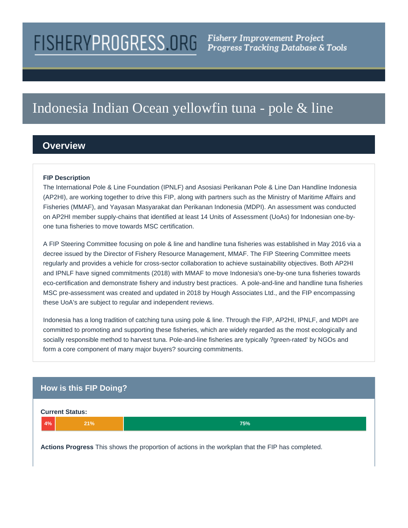# **FISHERYPROGRESS.ORG**

# Indonesia Indian Ocean yellowfin tuna - pole & line

## **Overview**

#### **FIP Description**

The International Pole & Line Foundation (IPNLF) and Asosiasi Perikanan Pole & Line Dan Handline Indonesia (AP2HI), are working together to drive this FIP, along with partners such as the Ministry of Maritime Affairs and Fisheries (MMAF), and Yayasan Masyarakat dan Perikanan Indonesia (MDPI). An assessment was conducted on AP2HI member supply-chains that identified at least 14 Units of Assessment (UoAs) for Indonesian one-byone tuna fisheries to move towards MSC certification.

A FIP Steering Committee focusing on pole & line and handline tuna fisheries was established in May 2016 via a decree issued by the Director of Fishery Resource Management, MMAF. The FIP Steering Committee meets regularly and provides a vehicle for cross-sector collaboration to achieve sustainability objectives. Both AP2HI and IPNLF have signed commitments (2018) with MMAF to move Indonesia's one-by-one tuna fisheries towards eco-certification and demonstrate fishery and industry best practices. A pole-and-line and handline tuna fisheries MSC pre-assessment was created and updated in 2018 by Hough Associates Ltd., and the FIP encompassing these UoA's are subject to regular and independent reviews.

Indonesia has a long tradition of catching tuna using pole & line. Through the FIP, AP2HI, IPNLF, and MDPI are committed to promoting and supporting these fisheries, which are widely regarded as the most ecologically and socially responsible method to harvest tuna. Pole-and-line fisheries are typically ?green-rated' by NGOs and form a core component of many major buyers? sourcing commitments.

### **How is this FIP Doing?**



**Actions Progress** This shows the proportion of actions in the workplan that the FIP has completed.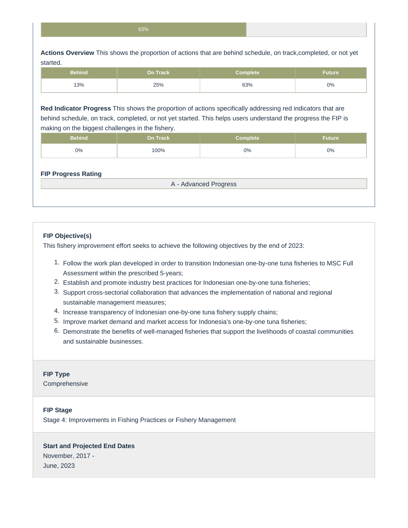**Actions Overview** This shows the proportion of actions that are behind schedule, on track,completed, or not yet started.

| <b>Behind</b> | <b>On Track</b> | <b>Complete</b> | 'Future |
|---------------|-----------------|-----------------|---------|
| 13%           | 25%             | 63%             | 0%      |

**Red Indicator Progress** This shows the proportion of actions specifically addressing red indicators that are behind schedule, on track, completed, or not yet started. This helps users understand the progress the FIP is making on the biggest challenges in the fishery.

| Behind ˈ | On Track | Complete | <b>Future</b> |
|----------|----------|----------|---------------|
| 0%       | 100%     | 0%       | $0\%$         |

#### **FIP Progress Rating**

A - Advanced Progress

#### **FIP Objective(s)**

This fishery improvement effort seeks to achieve the following objectives by the end of 2023:

- 1. Follow the work plan developed in order to transition Indonesian one-by-one tuna fisheries to MSC Full Assessment within the prescribed 5-years;
- 2. Establish and promote industry best practices for Indonesian one-by-one tuna fisheries;
- 3. Support cross-sectorial collaboration that advances the implementation of national and regional sustainable management measures;
- 4. Increase transparency of Indonesian one-by-one tuna fishery supply chains;
- 5. Improve market demand and market access for Indonesia's one-by-one tuna fisheries;
- 6. Demonstrate the benefits of well-managed fisheries that support the livelihoods of coastal communities and sustainable businesses.

#### **FIP Type**

Comprehensive

#### **FIP Stage**

Stage 4: Improvements in Fishing Practices or Fishery Management

#### **Start and Projected End Dates**

November, 2017 - June, 2023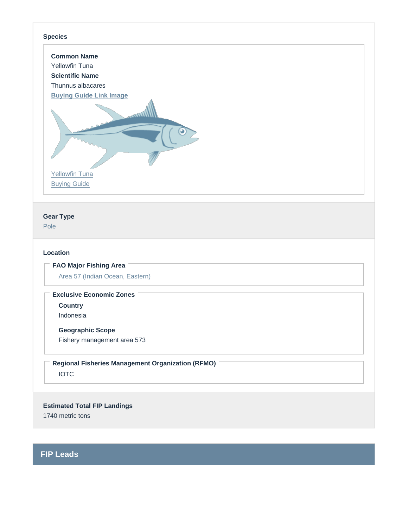#### Species

Common Name Yellowfin Tuna Scientific Name Thunnus albacares [Buying Guide Link Image](https://fishchoice.com/buying-guide/yellowfin-tuna)

[Yellowfin Tuna](https://fishchoice.com/buying-guide/yellowfin-tuna) [Buying Guide](https://fishchoice.com/buying-guide/yellowfin-tuna)

Gear Type

[Pole](https://fisheryprogress.org/product-and-gear-type/pole)

#### Location

FAO Major Fishing Area

[Area 57 \(Indian Ocean, Eastern\)](https://fisheryprogress.org/fao-major-fishing-areas/area-57-indian-ocean-eastern)

Exclusive Economic Zones

**Country** 

Indonesia

Geographic Scope

Fishery management area 573

IOTC Regional Fisheries Management Organization (RFMO)

Estimated Total FIP Landings 1740 metric tons

FIP Leads